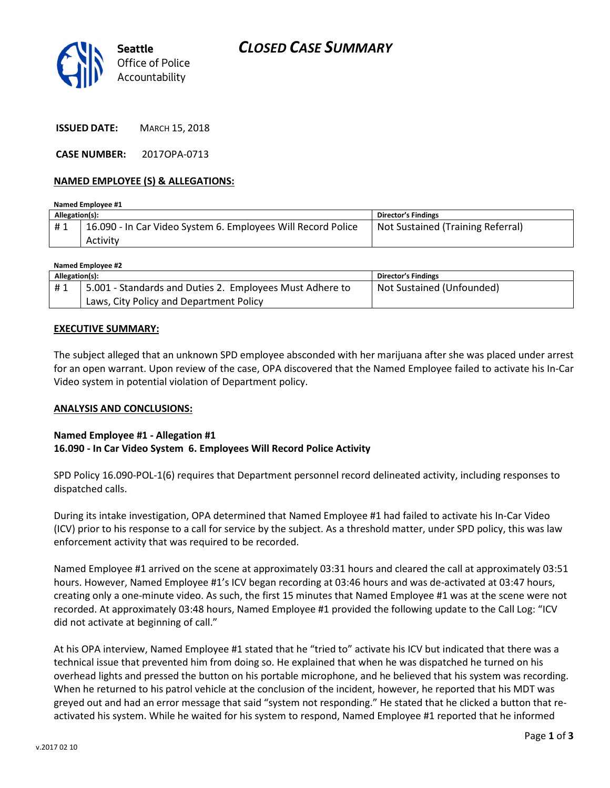

ISSUED DATE: MARCH 15, 2018

CASE NUMBER: 2017OPA-0713

## NAMED EMPLOYEE (S) & ALLEGATIONS:

| Named Employee #1 |                                                              |                                   |  |
|-------------------|--------------------------------------------------------------|-----------------------------------|--|
| Allegation(s):    |                                                              | <b>Director's Findings</b>        |  |
| #1                | 16.090 - In Car Video System 6. Employees Will Record Police | Not Sustained (Training Referral) |  |
|                   | Activity                                                     |                                   |  |

| Named Employee #2 |                                                          |                            |  |
|-------------------|----------------------------------------------------------|----------------------------|--|
| Allegation(s):    |                                                          | <b>Director's Findings</b> |  |
| #1                | 5.001 - Standards and Duties 2. Employees Must Adhere to | Not Sustained (Unfounded)  |  |
|                   | Laws, City Policy and Department Policy                  |                            |  |

## EXECUTIVE SUMMARY:

The subject alleged that an unknown SPD employee absconded with her marijuana after she was placed under arrest for an open warrant. Upon review of the case, OPA discovered that the Named Employee failed to activate his In-Car Video system in potential violation of Department policy.

#### ANALYSIS AND CONCLUSIONS:

# Named Employee #1 - Allegation #1 16.090 - In Car Video System 6. Employees Will Record Police Activity

SPD Policy 16.090-POL-1(6) requires that Department personnel record delineated activity, including responses to dispatched calls.

During its intake investigation, OPA determined that Named Employee #1 had failed to activate his In-Car Video (ICV) prior to his response to a call for service by the subject. As a threshold matter, under SPD policy, this was law enforcement activity that was required to be recorded.

Named Employee #1 arrived on the scene at approximately 03:31 hours and cleared the call at approximately 03:51 hours. However, Named Employee #1's ICV began recording at 03:46 hours and was de-activated at 03:47 hours, creating only a one-minute video. As such, the first 15 minutes that Named Employee #1 was at the scene were not recorded. At approximately 03:48 hours, Named Employee #1 provided the following update to the Call Log: "ICV did not activate at beginning of call."

At his OPA interview, Named Employee #1 stated that he "tried to" activate his ICV but indicated that there was a technical issue that prevented him from doing so. He explained that when he was dispatched he turned on his overhead lights and pressed the button on his portable microphone, and he believed that his system was recording. When he returned to his patrol vehicle at the conclusion of the incident, however, he reported that his MDT was greyed out and had an error message that said "system not responding." He stated that he clicked a button that reactivated his system. While he waited for his system to respond, Named Employee #1 reported that he informed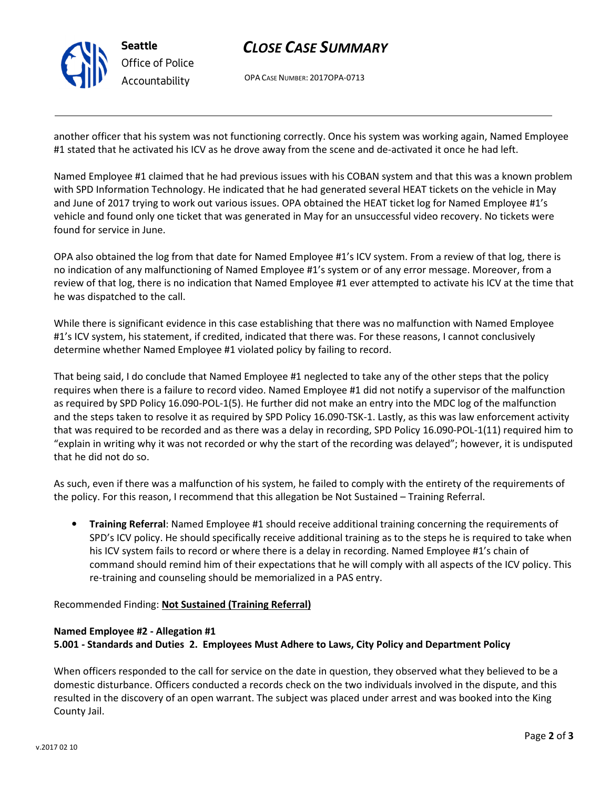

# CLOSE CASE SUMMARY

OPA CASE NUMBER: 2017OPA-0713

another officer that his system was not functioning correctly. Once his system was working again, Named Employee #1 stated that he activated his ICV as he drove away from the scene and de-activated it once he had left.

Named Employee #1 claimed that he had previous issues with his COBAN system and that this was a known problem with SPD Information Technology. He indicated that he had generated several HEAT tickets on the vehicle in May and June of 2017 trying to work out various issues. OPA obtained the HEAT ticket log for Named Employee #1's vehicle and found only one ticket that was generated in May for an unsuccessful video recovery. No tickets were found for service in June.

OPA also obtained the log from that date for Named Employee #1's ICV system. From a review of that log, there is no indication of any malfunctioning of Named Employee #1's system or of any error message. Moreover, from a review of that log, there is no indication that Named Employee #1 ever attempted to activate his ICV at the time that he was dispatched to the call.

While there is significant evidence in this case establishing that there was no malfunction with Named Employee #1's ICV system, his statement, if credited, indicated that there was. For these reasons, I cannot conclusively determine whether Named Employee #1 violated policy by failing to record.

That being said, I do conclude that Named Employee #1 neglected to take any of the other steps that the policy requires when there is a failure to record video. Named Employee #1 did not notify a supervisor of the malfunction as required by SPD Policy 16.090-POL-1(5). He further did not make an entry into the MDC log of the malfunction and the steps taken to resolve it as required by SPD Policy 16.090-TSK-1. Lastly, as this was law enforcement activity that was required to be recorded and as there was a delay in recording, SPD Policy 16.090-POL-1(11) required him to "explain in writing why it was not recorded or why the start of the recording was delayed"; however, it is undisputed that he did not do so.

As such, even if there was a malfunction of his system, he failed to comply with the entirety of the requirements of the policy. For this reason, I recommend that this allegation be Not Sustained – Training Referral.

• Training Referral: Named Employee #1 should receive additional training concerning the requirements of SPD's ICV policy. He should specifically receive additional training as to the steps he is required to take when his ICV system fails to record or where there is a delay in recording. Named Employee #1's chain of command should remind him of their expectations that he will comply with all aspects of the ICV policy. This re-training and counseling should be memorialized in a PAS entry.

Recommended Finding: Not Sustained (Training Referral)

## Named Employee #2 - Allegation #1 5.001 - Standards and Duties 2. Employees Must Adhere to Laws, City Policy and Department Policy

When officers responded to the call for service on the date in question, they observed what they believed to be a domestic disturbance. Officers conducted a records check on the two individuals involved in the dispute, and this resulted in the discovery of an open warrant. The subject was placed under arrest and was booked into the King County Jail.